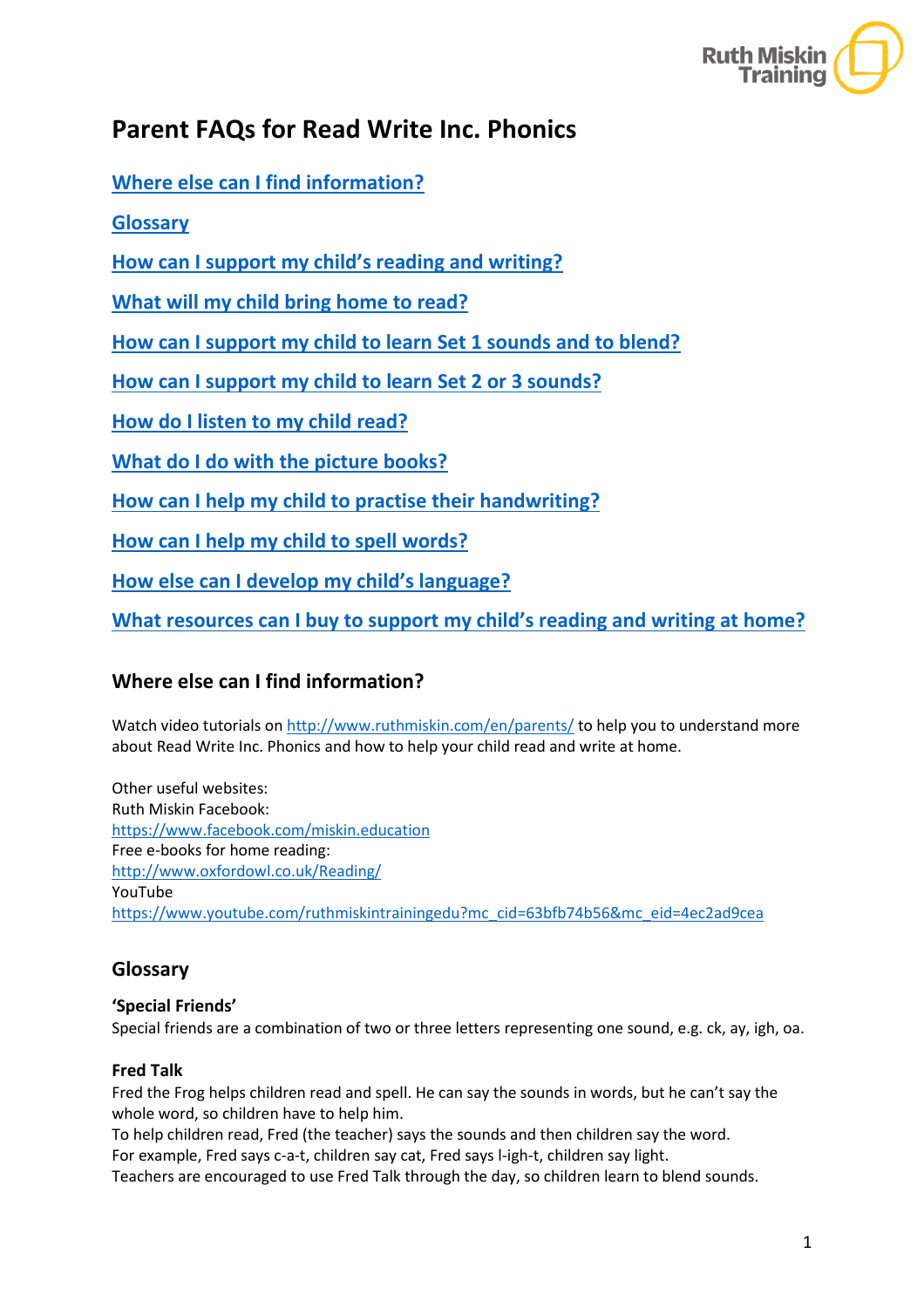

# **Parent FAQs for Read Write Inc. Phonics**

**[Where else can I find information?](#page-0-0)**

**[Glossary](#page-0-1)**

**How [can I support my child's reading and writing?](#page-1-0)** 

**[What will my child bring home to read?](#page-1-1)**

**[How can I support my child to learn Set 1 sounds and to blend?](#page-1-2)**

**[How can I support my child to learn Set 2 or 3 sounds?](#page-2-0)**

**[How do I listen to my child read?](#page-2-1)**

**[What do I do with the picture books?](#page-3-0)**

**[How can I help my child to practise their handwriting?](#page-3-1)**

**[How can I help my child to spell words?](#page-3-2)**

**[How else can I develop my child's language?](#page-3-3)**

**[What resources can I buy to support my child's reading and writing at home?](#page-3-4)**

# <span id="page-0-0"></span>**Where else can I find information?**

Watch video tutorials o[n http://www.ruthmiskin.com/en/parents/](http://www.ruthmiskin.com/en/parents/) to help you to understand more about Read Write Inc. Phonics and how to help your child read and write at home.

Other useful websites: Ruth Miskin Facebook: <https://www.facebook.com/miskin.education> Free e-books for home reading: <http://www.oxfordowl.co.uk/Reading/> YouTube [https://www.youtube.com/ruthmiskintrainingedu?mc\\_cid=63bfb74b56&mc\\_eid=4ec2ad9cea](https://www.youtube.com/ruthmiskintrainingedu?mc_cid=63bfb74b56&mc_eid=4ec2ad9cea)

# <span id="page-0-1"></span>**Glossary**

#### **'Special Friends'**

Special friends are a combination of two or three letters representing one sound, e.g. ck, ay, igh, oa.

#### **Fred Talk**

Fred the Frog helps children read and spell. He can say the sounds in words, but he can't say the whole word, so children have to help him.

To help children read, Fred (the teacher) says the sounds and then children say the word. For example, Fred says c-a-t, children say cat, Fred says l-igh-t, children say light. Teachers are encouraged to use Fred Talk through the day, so children learn to blend sounds.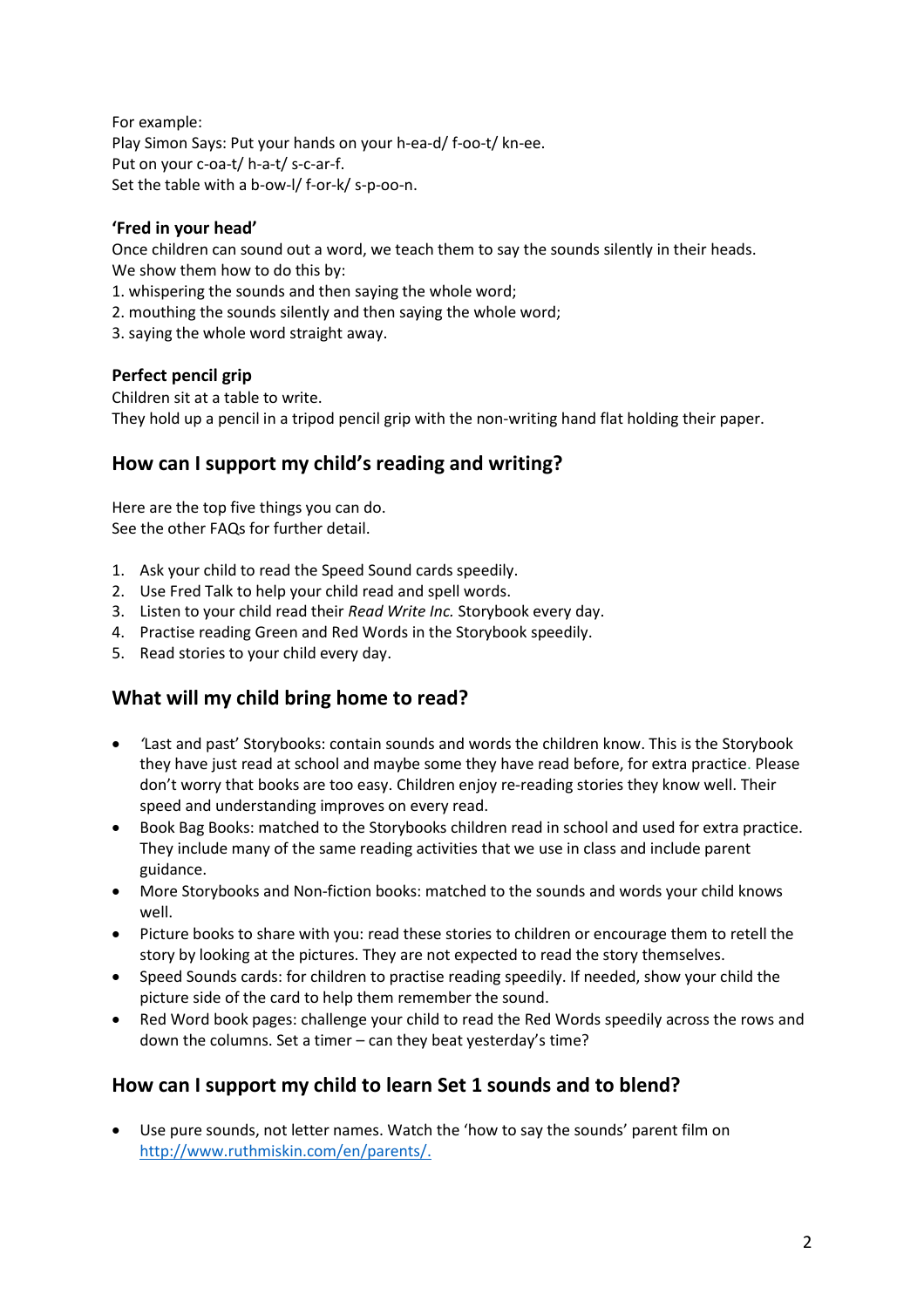For example: Play Simon Says: Put your hands on your h-ea-d/ f-oo-t/ kn-ee. Put on your c-oa-t/ h-a-t/ s-c-ar-f. Set the table with a b-ow-l/ f-or-k/ s-p-oo-n.

#### **'Fred in your head'**

Once children can sound out a word, we teach them to say the sounds silently in their heads. We show them how to do this by:

- 1. whispering the sounds and then saying the whole word;
- 2. mouthing the sounds silently and then saying the whole word;
- 3. saying the whole word straight away.

#### **Perfect pencil grip**

Children sit at a table to write. They hold up a pencil in a tripod pencil grip with the non-writing hand flat holding their paper.

### <span id="page-1-0"></span>**How can I support my child's reading and writing?**

Here are the top five things you can do. See the other FAQs for further detail.

- 1. Ask your child to read the Speed Sound cards speedily.
- 2. Use Fred Talk to help your child read and spell words.
- 3. Listen to your child read their *Read Write Inc.* Storybook every day.
- 4. Practise reading Green and Red Words in the Storybook speedily.
- 5. Read stories to your child every day.

# <span id="page-1-1"></span>**What will my child bring home to read?**

- *'*Last and past' Storybooks: contain sounds and words the children know. This is the Storybook they have just read at school and maybe some they have read before, for extra practice. Please don't worry that books are too easy. Children enjoy re-reading stories they know well. Their speed and understanding improves on every read.
- Book Bag Books: matched to the Storybooks children read in school and used for extra practice. They include many of the same reading activities that we use in class and include parent guidance.
- More Storybooks and Non-fiction books: matched to the sounds and words your child knows well.
- Picture books to share with you: read these stories to children or encourage them to retell the story by looking at the pictures. They are not expected to read the story themselves.
- Speed Sounds cards: for children to practise reading speedily. If needed, show your child the picture side of the card to help them remember the sound.
- Red Word book pages: challenge your child to read the Red Words speedily across the rows and down the columns. Set a timer – can they beat yesterday's time?

### <span id="page-1-2"></span>**How can I support my child to learn Set 1 sounds and to blend?**

• Use pure sounds, not letter names. Watch the 'how to say the sounds' parent film on [http://www.ruthmiskin.com/en/parents/.](http://www.ruthmiskin.com/en/parents/)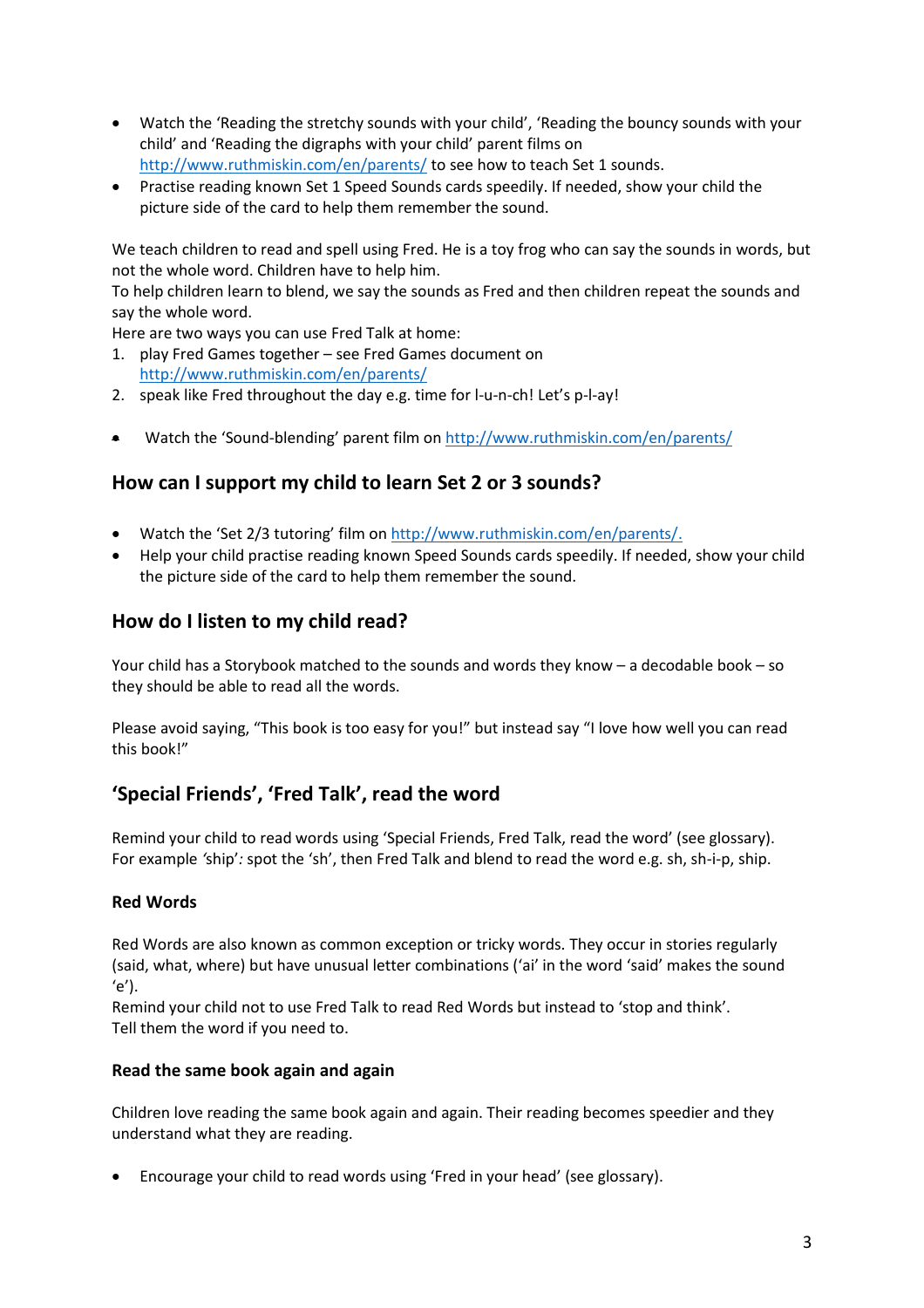- Watch the 'Reading the stretchy sounds with your child', 'Reading the bouncy sounds with your child' and 'Reading the digraphs with your child' parent films on <http://www.ruthmiskin.com/en/parents/> to see how to teach Set 1 sounds.
- Practise reading known Set 1 Speed Sounds cards speedily. If needed, show your child the picture side of the card to help them remember the sound.

We teach children to read and spell using Fred. He is a toy frog who can say the sounds in words, but not the whole word. Children have to help him.

To help children learn to blend, we say the sounds as Fred and then children repeat the sounds and say the whole word.

Here are two ways you can use Fred Talk at home:

- 1. play Fred Games together see Fred Games document on <http://www.ruthmiskin.com/en/parents/>
- 2. speak like Fred throughout the day e.g. time for l-u-n-ch! Let's p-l-ay!
- Watch the 'Sound-blending' parent film on<http://www.ruthmiskin.com/en/parents/>

### <span id="page-2-0"></span>**How can I support my child to learn Set 2 or 3 sounds?**

- Watch the 'Set 2/3 tutoring' film o[n http://www.ruthmiskin.com/en/parents/.](http://www.ruthmiskin.com/en/parents/)
- Help your child practise reading known Speed Sounds cards speedily. If needed, show your child the picture side of the card to help them remember the sound.

### <span id="page-2-1"></span>**How do I listen to my child read?**

Your child has a Storybook matched to the sounds and words they know – a decodable book – so they should be able to read all the words.

Please avoid saying, "This book is too easy for you!" but instead say "I love how well you can read this book!"

# **'Special Friends', 'Fred Talk', read the word**

Remind your child to read words using 'Special Friends, Fred Talk, read the word' (see glossary). For example *'*ship'*:* spot the 'sh', then Fred Talk and blend to read the word e.g. sh, sh-i-p, ship.

#### **Red Words**

Red Words are also known as common exception or tricky words. They occur in stories regularly (said, what, where) but have unusual letter combinations ('ai' in the word 'said' makes the sound  $(e')$ .

Remind your child not to use Fred Talk to read Red Words but instead to 'stop and think'. Tell them the word if you need to.

#### **Read the same book again and again**

Children love reading the same book again and again. Their reading becomes speedier and they understand what they are reading.

• Encourage your child to read words using 'Fred in your head' (see glossary).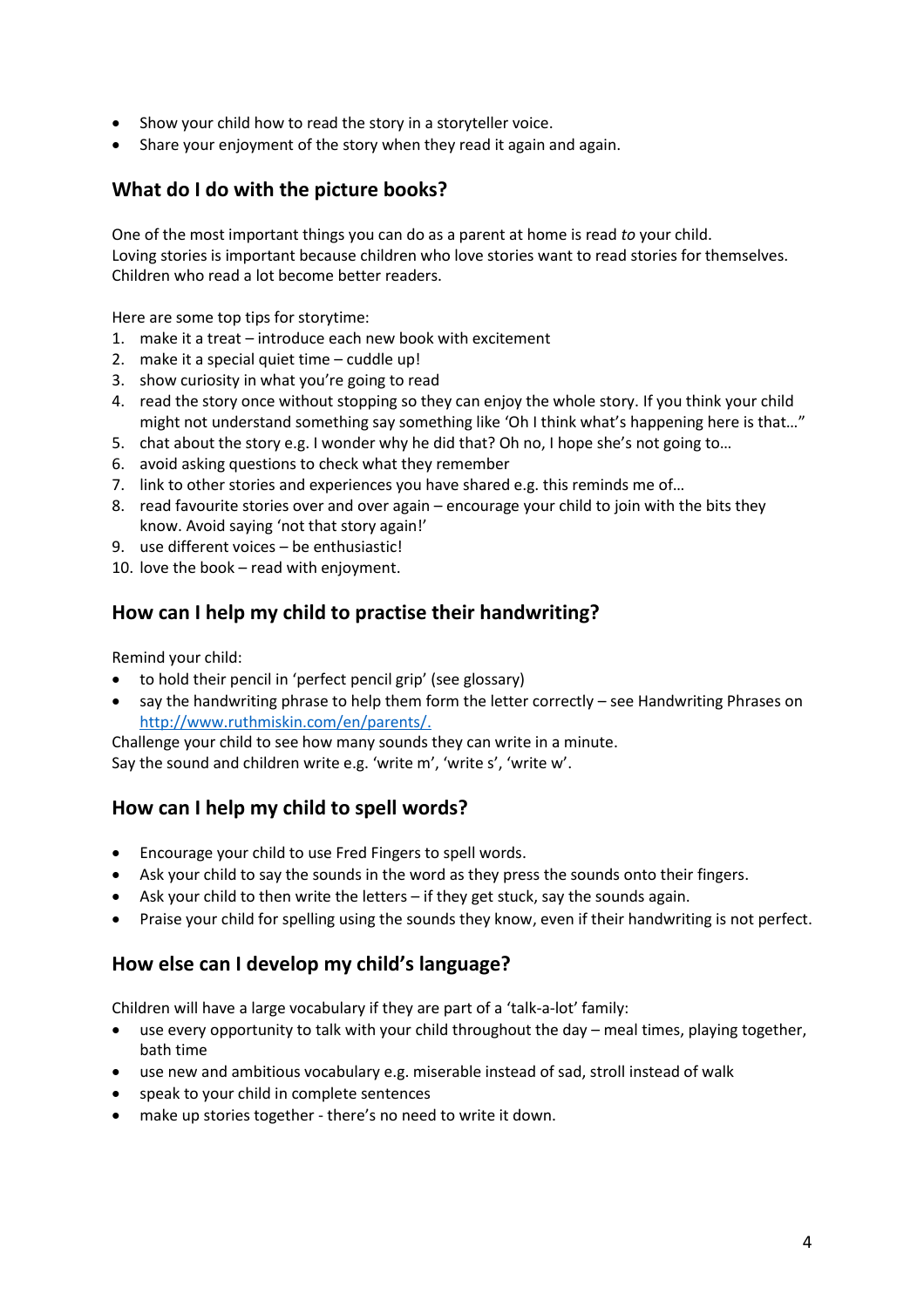- Show your child how to read the story in a storyteller voice.
- Share your enjoyment of the story when they read it again and again.

# <span id="page-3-0"></span>**What do I do with the picture books?**

One of the most important things you can do as a parent at home is read *to* your child. Loving stories is important because children who love stories want to read stories for themselves. Children who read a lot become better readers.

Here are some top tips for storytime:

- 1. make it a treat introduce each new book with excitement
- 2. make it a special quiet time cuddle up!
- 3. show curiosity in what you're going to read
- 4. read the story once without stopping so they can enjoy the whole story. If you think your child might not understand something say something like 'Oh I think what's happening here is that..."
- 5. chat about the story e.g. I wonder why he did that? Oh no, I hope she's not going to…
- 6. avoid asking questions to check what they remember
- 7. link to other stories and experiences you have shared e.g. this reminds me of…
- 8. read favourite stories over and over again encourage your child to join with the bits they know. Avoid saying 'not that story again!'
- 9. use different voices be enthusiastic!
- 10. love the book read with enjoyment.

### <span id="page-3-1"></span>**How can I help my child to practise their handwriting?**

Remind your child:

- to hold their pencil in 'perfect pencil grip' (see glossary)
- say the handwriting phrase to help them form the letter correctly see Handwriting Phrases on [http://www.ruthmiskin.com/en/parents/.](http://www.ruthmiskin.com/en/parents/)

Challenge your child to see how many sounds they can write in a minute.

Say the sound and children write e.g. 'write m', 'write s', 'write w'.

### <span id="page-3-2"></span>**How can I help my child to spell words?**

- Encourage your child to use Fred Fingers to spell words.
- Ask your child to say the sounds in the word as they press the sounds onto their fingers.
- Ask your child to then write the letters if they get stuck, say the sounds again.
- Praise your child for spelling using the sounds they know, even if their handwriting is not perfect.

### <span id="page-3-3"></span>**How else can I develop my child's language?**

Children will have a large vocabulary if they are part of a 'talk-a-lot' family:

- use every opportunity to talk with your child throughout the day meal times, playing together, bath time
- use new and ambitious vocabulary e.g. miserable instead of sad, stroll instead of walk
- speak to your child in complete sentences
- <span id="page-3-4"></span>• make up stories together - there's no need to write it down.